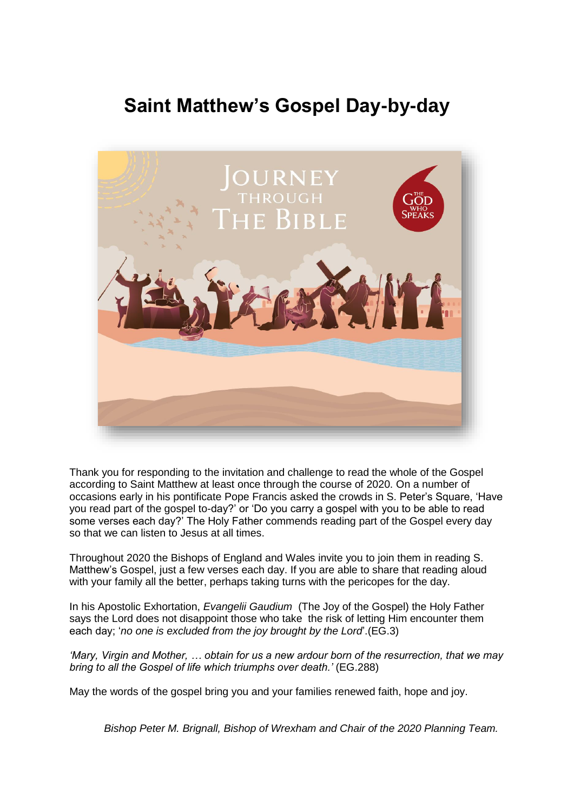# **Saint Matthew's Gospel Day-by-day**



Thank you for responding to the invitation and challenge to read the whole of the Gospel according to Saint Matthew at least once through the course of 2020. On a number of occasions early in his pontificate Pope Francis asked the crowds in S. Peter's Square, 'Have you read part of the gospel to-day?' or 'Do you carry a gospel with you to be able to read some verses each day?' The Holy Father commends reading part of the Gospel every day so that we can listen to Jesus at all times.

Throughout 2020 the Bishops of England and Wales invite you to join them in reading S. Matthew's Gospel, just a few verses each day. If you are able to share that reading aloud with your family all the better, perhaps taking turns with the pericopes for the day.

In his Apostolic Exhortation, *Evangelii Gaudium* (The Joy of the Gospel) the Holy Father says the Lord does not disappoint those who take the risk of letting Him encounter them each day; '*no one is excluded from the joy brought by the Lord*'.(EG.3)

*'Mary, Virgin and Mother, … obtain for us a new ardour born of the resurrection, that we may bring to all the Gospel of life which triumphs over death.'* (EG.288)

May the words of the gospel bring you and your families renewed faith, hope and joy.

*Bishop Peter M. Brignall, Bishop of Wrexham and Chair of the 2020 Planning Team.*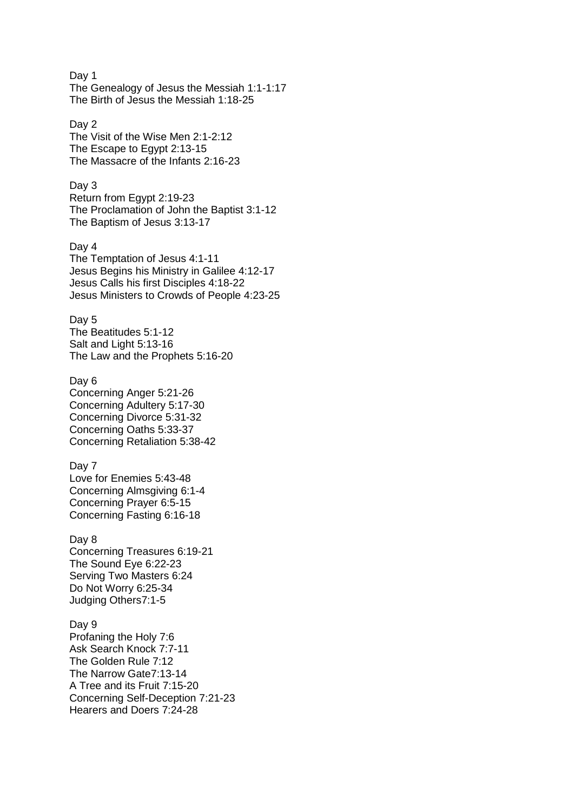Day 1 The Genealogy of Jesus the Messiah 1:1-1:17 The Birth of Jesus the Messiah 1:18-25

# Day 2

The Visit of the Wise Men 2:1-2:12 The Escape to Egypt 2:13-15 The Massacre of the Infants 2:16-23

# Day 3

Return from Egypt 2:19-23 The Proclamation of John the Baptist 3:1-12 The Baptism of Jesus 3:13-17

### Day 4

The Temptation of Jesus 4:1-11 Jesus Begins his Ministry in Galilee 4:12-17 Jesus Calls his first Disciples 4:18-22 Jesus Ministers to Crowds of People 4:23-25

## Day 5

The Beatitudes 5:1-12 Salt and Light 5:13-16 The Law and the Prophets 5:16-20

## Day 6

Concerning Anger 5:21-26 Concerning Adultery 5:17-30 Concerning Divorce 5:31-32 Concerning Oaths 5:33-37 Concerning Retaliation 5:38-42

#### Day 7

Love for Enemies 5:43-48 Concerning Almsgiving 6:1-4 Concerning Prayer 6:5-15 Concerning Fasting 6:16-18

#### Day 8

Concerning Treasures 6:19-21 The Sound Eye 6:22-23 Serving Two Masters 6:24 Do Not Worry 6:25-34 Judging Others7:1-5

#### Day 9

Profaning the Holy 7:6 Ask Search Knock 7:7-11 The Golden Rule 7:12 The Narrow Gate7:13-14 A Tree and its Fruit 7:15-20 Concerning Self-Deception 7:21-23 Hearers and Doers 7:24-28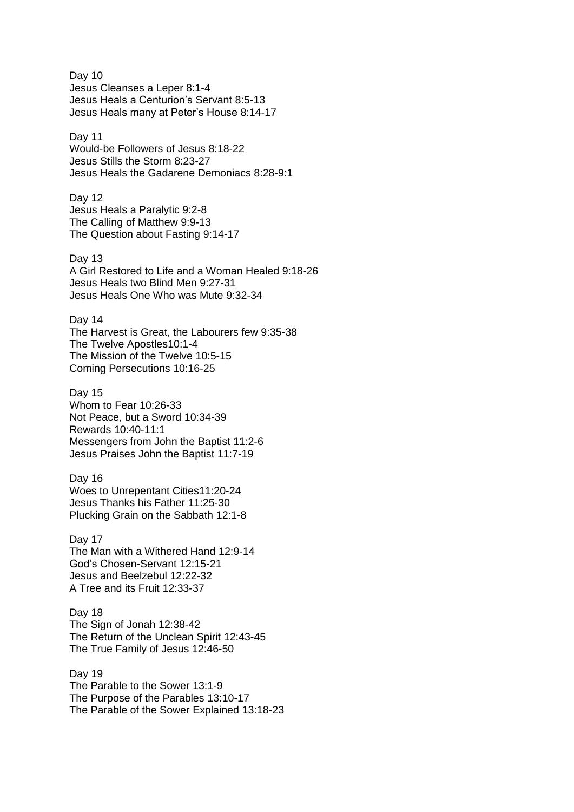Day 10 Jesus Cleanses a Leper 8:1-4 Jesus Heals a Centurion's Servant 8:5-13 Jesus Heals many at Peter's House 8:14-17

# Day 11

Would-be Followers of Jesus 8:18-22 Jesus Stills the Storm 8:23-27 Jesus Heals the Gadarene Demoniacs 8:28-9:1

Day 12 Jesus Heals a Paralytic 9:2-8 The Calling of Matthew 9:9-13 The Question about Fasting 9:14-17

Day 13 A Girl Restored to Life and a Woman Healed 9:18-26 Jesus Heals two Blind Men 9:27-31 Jesus Heals One Who was Mute 9:32-34

Day 14

The Harvest is Great, the Labourers few 9:35-38 The Twelve Apostles10:1-4 The Mission of the Twelve 10:5-15 Coming Persecutions 10:16-25

Day 15 Whom to Fear 10:26-33 Not Peace, but a Sword 10:34-39 Rewards 10:40-11:1 Messengers from John the Baptist 11:2-6 Jesus Praises John the Baptist 11:7-19

Day 16 Woes to Unrepentant Cities11:20-24 Jesus Thanks his Father 11:25-30 Plucking Grain on the Sabbath 12:1-8

Day 17 The Man with a Withered Hand 12:9-14 God's Chosen-Servant 12:15-21 Jesus and Beelzebul 12:22-32 A Tree and its Fruit 12:33-37

Day 18 The Sign of Jonah 12:38-42 The Return of the Unclean Spirit 12:43-45 The True Family of Jesus 12:46-50

Day 19 The Parable to the Sower 13:1-9 The Purpose of the Parables 13:10-17 The Parable of the Sower Explained 13:18-23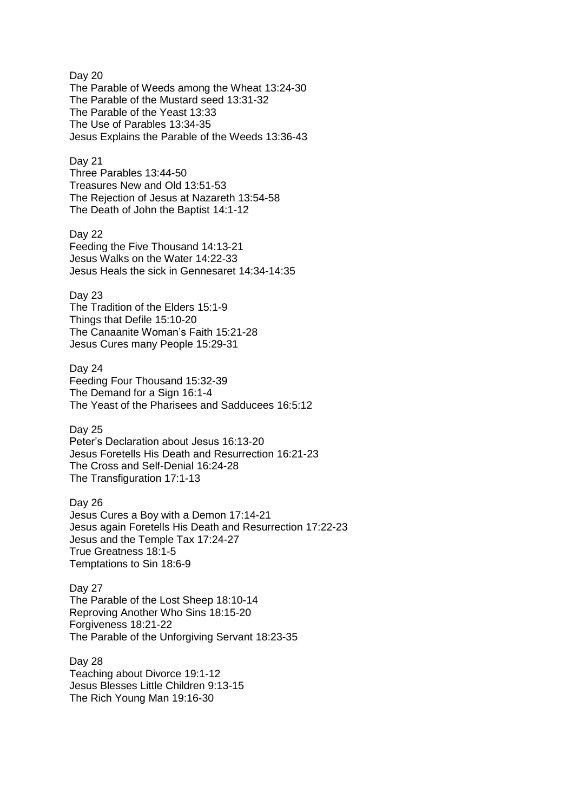Day 20 The Parable of Weeds among the Wheat 13:24-30 The Parable of the Mustard seed 13:31-32 The Parable of the Yeast 13:33 The Use of Parables 13:34-35 Jesus Explains the Parable of the Weeds 13:36-43

#### Day 21

Three Parables 13:44-50 Treasures New and Old 13:51-53 The Rejection of Jesus at Nazareth 13:54-58 The Death of John the Baptist 14:1-12

#### Day 22

Feeding the Five Thousand 14:13-21 Jesus Walks on the Water 14:22-33 Jesus Heals the sick in Gennesaret 14:34-14:35

## Day 23

The Tradition of the Elders 15:1-9 Things that Defile 15:10-20 The Canaanite Woman's Faith 15:21-28 Jesus Cures many People 15:29-31

# Day 24

Feeding Four Thousand 15:32-39 The Demand for a Sign 16:1-4 The Yeast of the Pharisees and Sadducees 16:5:12

# Day 25

Peter's Declaration about Jesus 16:13-20 Jesus Foretells His Death and Resurrection 16:21-23 The Cross and Self-Denial 16:24-28 The Transfiguration 17:1-13

# Day 26

Jesus Cures a Boy with a Demon 17:14-21 Jesus again Foretells His Death and Resurrection 17:22-23 Jesus and the Temple Tax 17:24-27 True Greatness 18:1-5 Temptations to Sin 18:6-9

#### Day 27

The Parable of the Lost Sheep 18:10-14 Reproving Another Who Sins 18:15-20 Forgiveness 18:21-22 The Parable of the Unforgiving Servant 18:23-35

# Day 28 Teaching about Divorce 19:1-12

Jesus Blesses Little Children 9:13-15 The Rich Young Man 19:16-30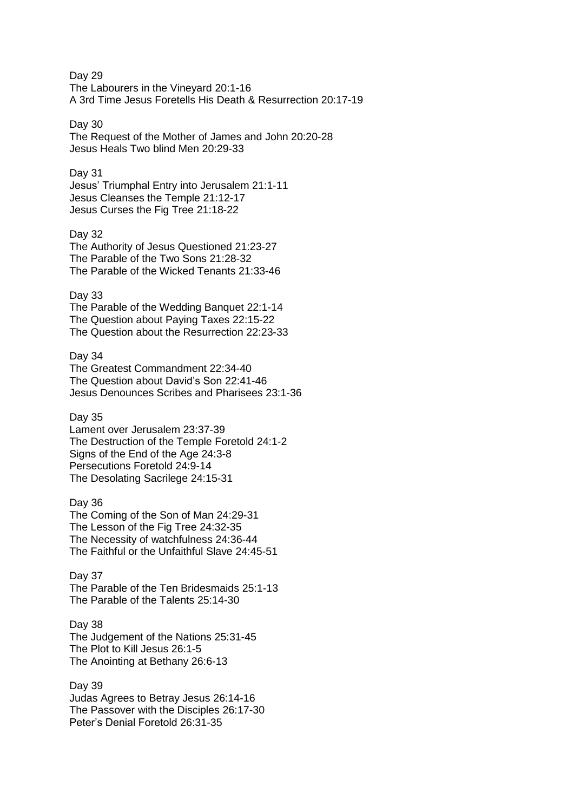Day 29 The Labourers in the Vineyard 20:1-16 A 3rd Time Jesus Foretells His Death & Resurrection 20:17-19

## Day 30

The Request of the Mother of James and John 20:20-28 Jesus Heals Two blind Men 20:29-33

# Day 31

Jesus' Triumphal Entry into Jerusalem 21:1-11 Jesus Cleanses the Temple 21:12-17 Jesus Curses the Fig Tree 21:18-22

## Day 32

The Authority of Jesus Questioned 21:23-27 The Parable of the Two Sons 21:28-32 The Parable of the Wicked Tenants 21:33-46

# Day 33

The Parable of the Wedding Banquet 22:1-14 The Question about Paying Taxes 22:15-22 The Question about the Resurrection 22:23-33

# Day 34

The Greatest Commandment 22:34-40 The Question about David's Son 22:41-46 Jesus Denounces Scribes and Pharisees 23:1-36

# Day 35

Lament over Jerusalem 23:37-39 The Destruction of the Temple Foretold 24:1-2 Signs of the End of the Age 24:3-8 Persecutions Foretold 24:9-14 The Desolating Sacrilege 24:15-31

# Day 36

The Coming of the Son of Man 24:29-31 The Lesson of the Fig Tree 24:32-35 The Necessity of watchfulness 24:36-44 The Faithful or the Unfaithful Slave 24:45-51

## Day 37

The Parable of the Ten Bridesmaids 25:1-13 The Parable of the Talents 25:14-30

#### Day 38

The Judgement of the Nations 25:31-45 The Plot to Kill Jesus 26:1-5 The Anointing at Bethany 26:6-13

## Day 39

Judas Agrees to Betray Jesus 26:14-16 The Passover with the Disciples 26:17-30 Peter's Denial Foretold 26:31-35